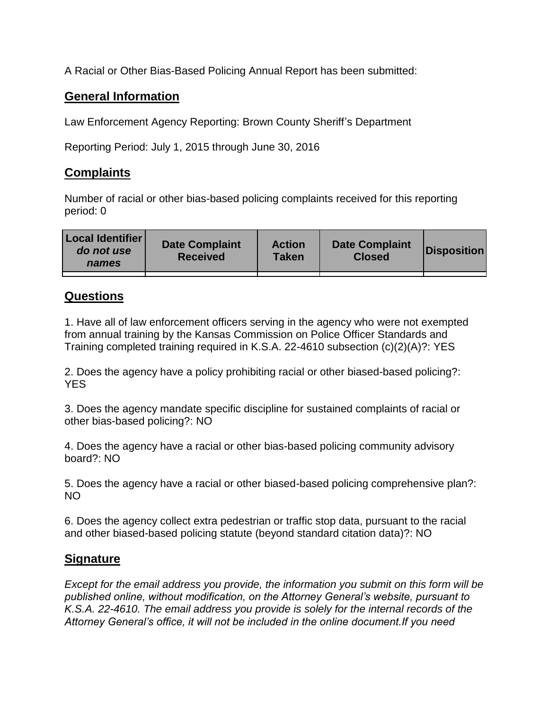A Racial or Other Bias-Based Policing Annual Report has been submitted:

## **General Information**

Law Enforcement Agency Reporting: Brown County Sheriff's Department

Reporting Period: July 1, 2015 through June 30, 2016

## **Complaints**

Number of racial or other bias-based policing complaints received for this reporting period: 0

| <b>Local Identifier</b><br>do not use<br>names | <b>Date Complaint</b><br><b>Received</b> | <b>Action</b><br><b>Taken</b> | <b>Date Complaint</b><br><b>Closed</b> | Disposition |
|------------------------------------------------|------------------------------------------|-------------------------------|----------------------------------------|-------------|
|                                                |                                          |                               |                                        |             |

## **Questions**

1. Have all of law enforcement officers serving in the agency who were not exempted from annual training by the Kansas Commission on Police Officer Standards and Training completed training required in K.S.A. 22-4610 subsection (c)(2)(A)?: YES

2. Does the agency have a policy prohibiting racial or other biased-based policing?: YES

3. Does the agency mandate specific discipline for sustained complaints of racial or other bias-based policing?: NO

4. Does the agency have a racial or other bias-based policing community advisory board?: NO

5. Does the agency have a racial or other biased-based policing comprehensive plan?: NO

6. Does the agency collect extra pedestrian or traffic stop data, pursuant to the racial and other biased-based policing statute (beyond standard citation data)?: NO

## **Signature**

*Except for the email address you provide, the information you submit on this form will be published online, without modification, on the Attorney General's website, pursuant to K.S.A. 22-4610. The email address you provide is solely for the internal records of the Attorney General's office, it will not be included in the online document.If you need*